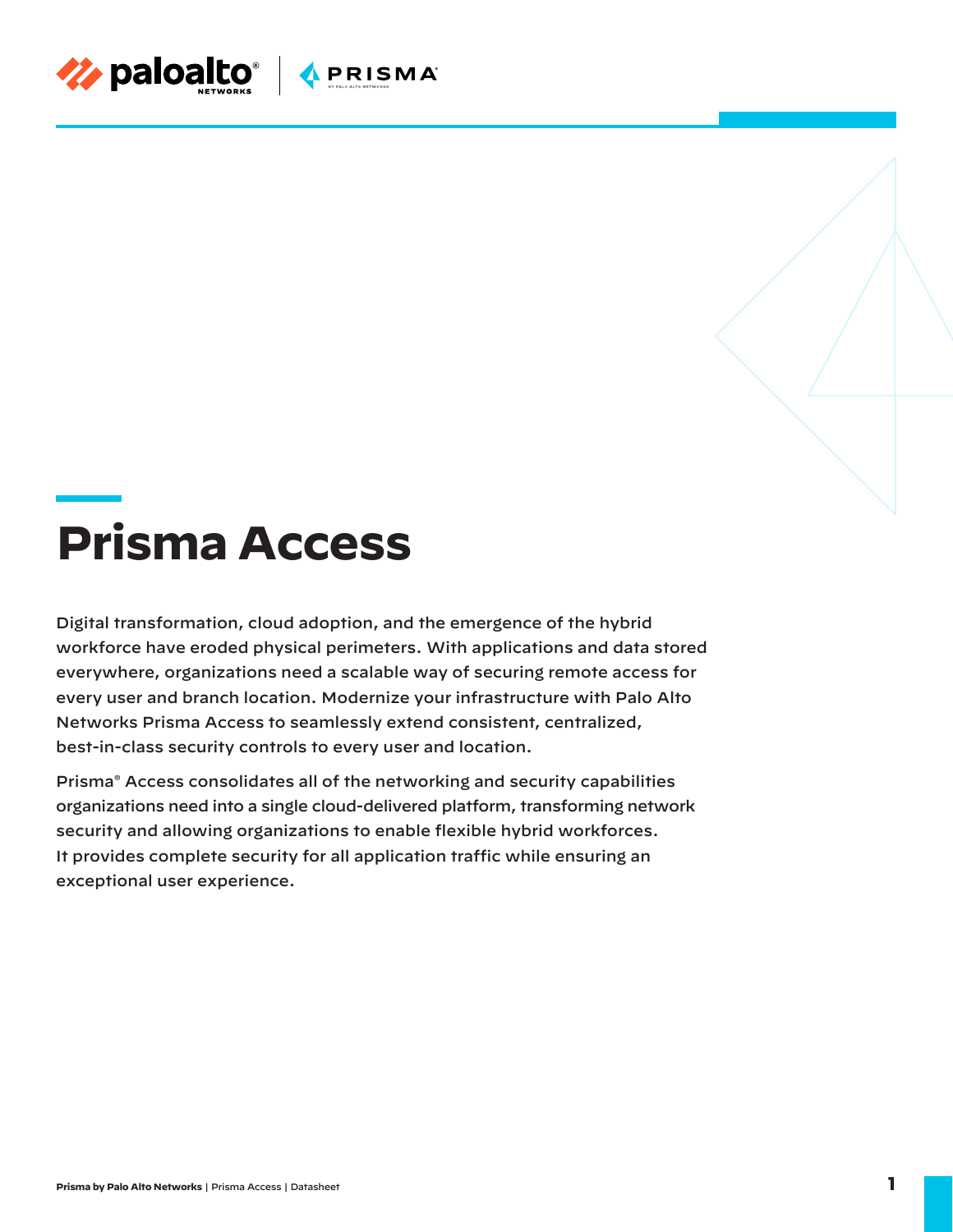

# **Prisma Access**

Digital transformation, cloud adoption, and the emergence of the hybrid workforce have eroded physical perimeters. With applications and data stored everywhere, organizations need a scalable way of securing remote access for every user and branch location. Modernize your infrastructure with Palo Alto Networks Prisma Access to seamlessly extend consistent, centralized, best-in-class security controls to every user and location.

Prisma® Access consolidates all of the networking and security capabilities organizations need into a single cloud-delivered platform, transforming network security and allowing organizations to enable flexible hybrid workforces. It provides complete security for all application traffic while ensuring an exceptional user experience.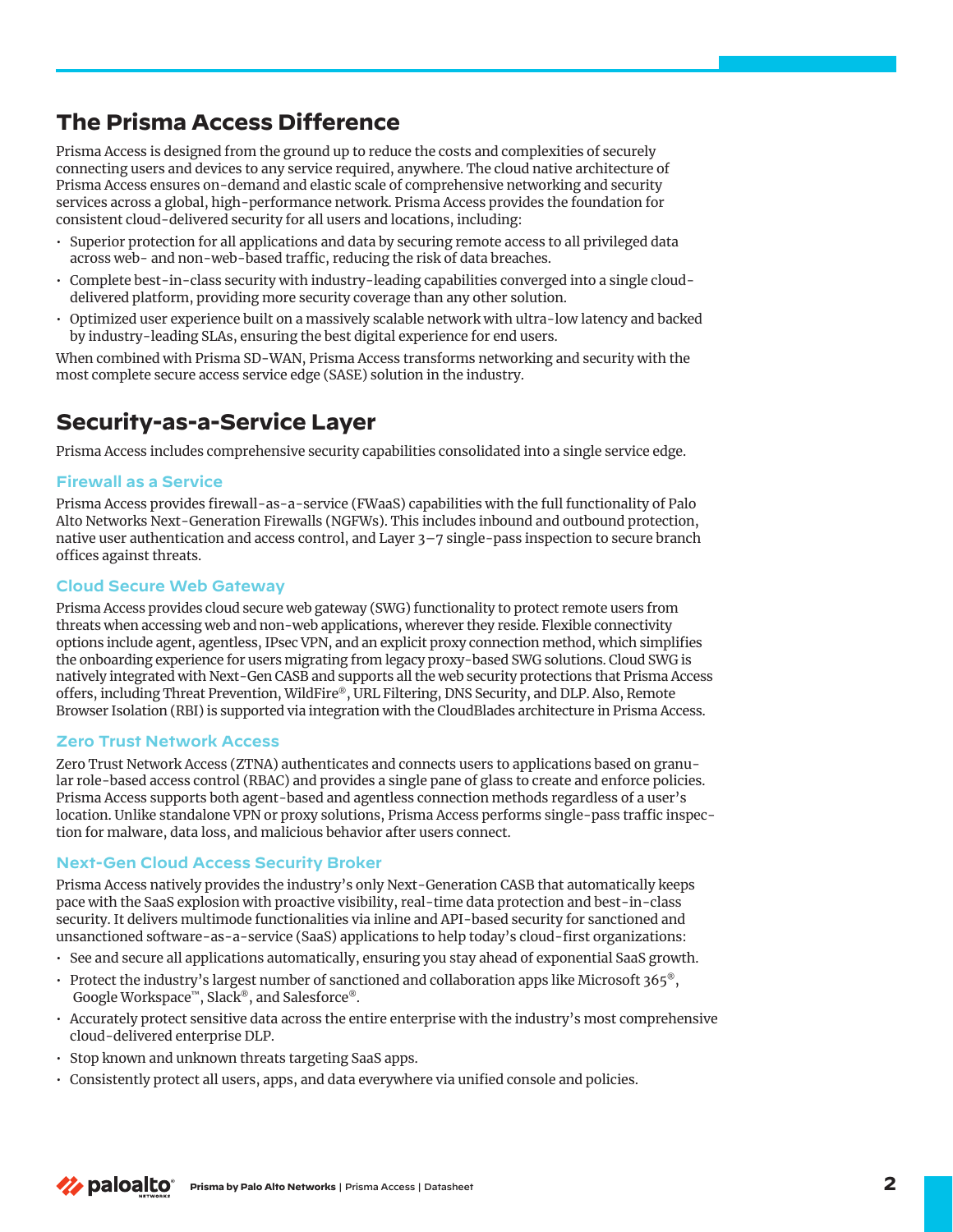## **The Prisma Access Difference**

Prisma Access is designed from the ground up to reduce the costs and complexities of securely connecting users and devices to any service required, anywhere. The cloud native architecture of Prisma Access ensures on-demand and elastic scale of comprehensive networking and security services across a global, high-performance network. Prisma Access provides the foundation for consistent cloud-delivered security for all users and locations, including:

- Superior protection for all applications and data by securing remote access to all privileged data across web- and non-web-based traffic, reducing the risk of data breaches.
- Complete best-in-class security with industry-leading capabilities converged into a single clouddelivered platform, providing more security coverage than any other solution.
- Optimized user experience built on a massively scalable network with ultra-low latency and backed by industry-leading SLAs, ensuring the best digital experience for end users.

When combined with Prisma SD-WAN, Prisma Access transforms networking and security with the most complete secure access service edge (SASE) solution in the industry.

## **Security-as-a-Service Layer**

Prisma Access includes comprehensive security capabilities consolidated into a single service edge.

#### **Firewall as a Service**

Prisma Access provides firewall-as-a-service (FWaaS) capabilities with the full functionality of Palo Alto Networks Next-Generation Firewalls (NGFWs). This includes inbound and outbound protection, native user authentication and access control, and Layer 3–7 single-pass inspection to secure branch offices against threats.

## **Cloud Secure Web Gateway**

Prisma Access provides cloud secure web gateway (SWG) functionality to protect remote users from threats when accessing web and non-web applications, wherever they reside. Flexible connectivity options include agent, agentless, IPsec VPN, and an explicit proxy connection method, which simplifies the onboarding experience for users migrating from legacy proxy-based SWG solutions. Cloud SWG is natively integrated with Next-Gen CASB and supports all the web security protections that Prisma Access offers, including Threat Prevention, WildFire®, URL Filtering, DNS Security, and DLP. Also, Remote Browser Isolation (RBI) is supported via integration with the CloudBlades architecture in Prisma Access.

#### **Zero Trust Network Access**

Zero Trust Network Access (ZTNA) authenticates and connects users to applications based on granular role-based access control (RBAC) and provides a single pane of glass to create and enforce policies. Prisma Access supports both agent-based and agentless connection methods regardless of a user's location. Unlike standalone VPN or proxy solutions, Prisma Access performs single-pass traffic inspection for malware, data loss, and malicious behavior after users connect.

#### **Next-Gen Cloud Access Security Broker**

Prisma Access natively provides the industry's only Next-Generation CASB that automatically keeps pace with the SaaS explosion with proactive visibility, real-time data protection and best-in-class security. It delivers multimode functionalities via inline and API-based security for sanctioned and unsanctioned software-as-a-service (SaaS) applications to help today's cloud-first organizations:

- See and secure all applications automatically, ensuring you stay ahead of exponential SaaS growth.
- Protect the industry's largest number of sanctioned and collaboration apps like Microsoft 365®, Google Workspace™, Slack®, and Salesforce®.
- Accurately protect sensitive data across the entire enterprise with the industry's most comprehensive cloud-delivered enterprise DLP.
- Stop known and unknown threats targeting SaaS apps.
- Consistently protect all users, apps, and data everywhere via unified console and policies.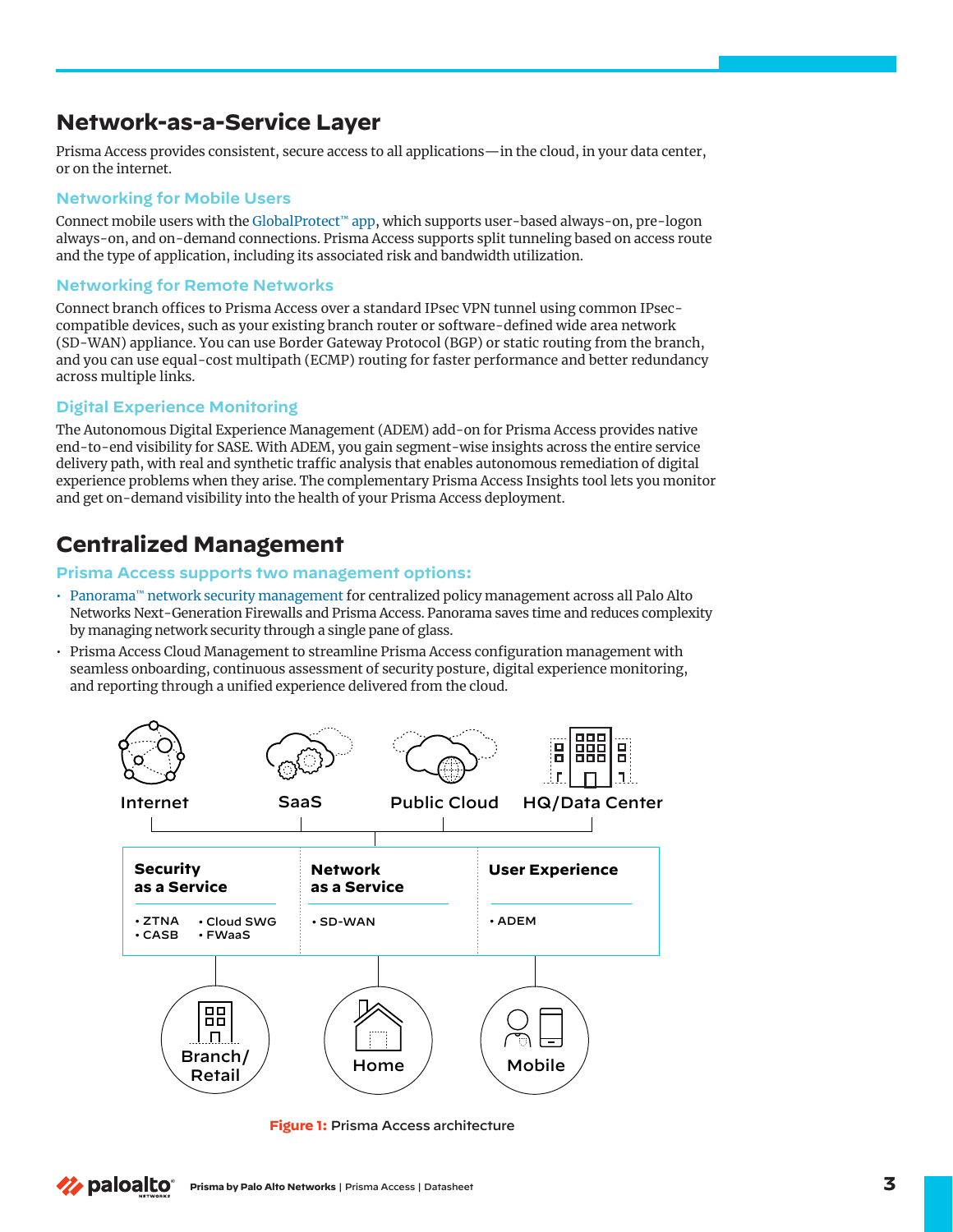## **Network-as-a-Service Layer**

Prisma Access provides consistent, secure access to all applications—in the cloud, in your data center, or on the internet.

## **Networking for Mobile Users**

Connect mobile users with the GlobalProtect™ app, which supports user-based always-on, pre-logon always-on, and on-demand connections. Prisma Access supports split tunneling based on access route and the type of application, including its associated risk and bandwidth utilization.

## **Networking for Remote Networks**

Connect branch offices to Prisma Access over a standard IPsec VPN tunnel using common IPseccompatible devices, such as your existing branch router or software-defined wide area network (SD-WAN) appliance. You can use Border Gateway Protocol (BGP) or static routing from the branch, and you can use equal-cost multipath (ECMP) routing for faster performance and better redundancy across multiple links.

## **Digital Experience Monitoring**

The Autonomous Digital Experience Management (ADEM) add-on for Prisma Access provides native end-to-end visibility for SASE. With ADEM, you gain segment-wise insights across the entire service delivery path, with real and synthetic traffic analysis that enables autonomous remediation of digital experience problems when they arise. The complementary Prisma Access Insights tool lets you monitor and get on-demand visibility into the health of your Prisma Access deployment.

# **Centralized Management**

#### **Prisma Access supports two management options:**

- Panorama™ network security management for centralized policy management across all Palo Alto Networks Next-Generation Firewalls and Prisma Access. Panorama saves time and reduces complexity by managing network security through a single pane of glass.
- Prisma Access Cloud Management to streamline Prisma Access configuration management with seamless onboarding, continuous assessment of security posture, digital experience monitoring, and reporting through a unified experience delivered from the cloud.



**Figure 1:** Prisma Access architecture

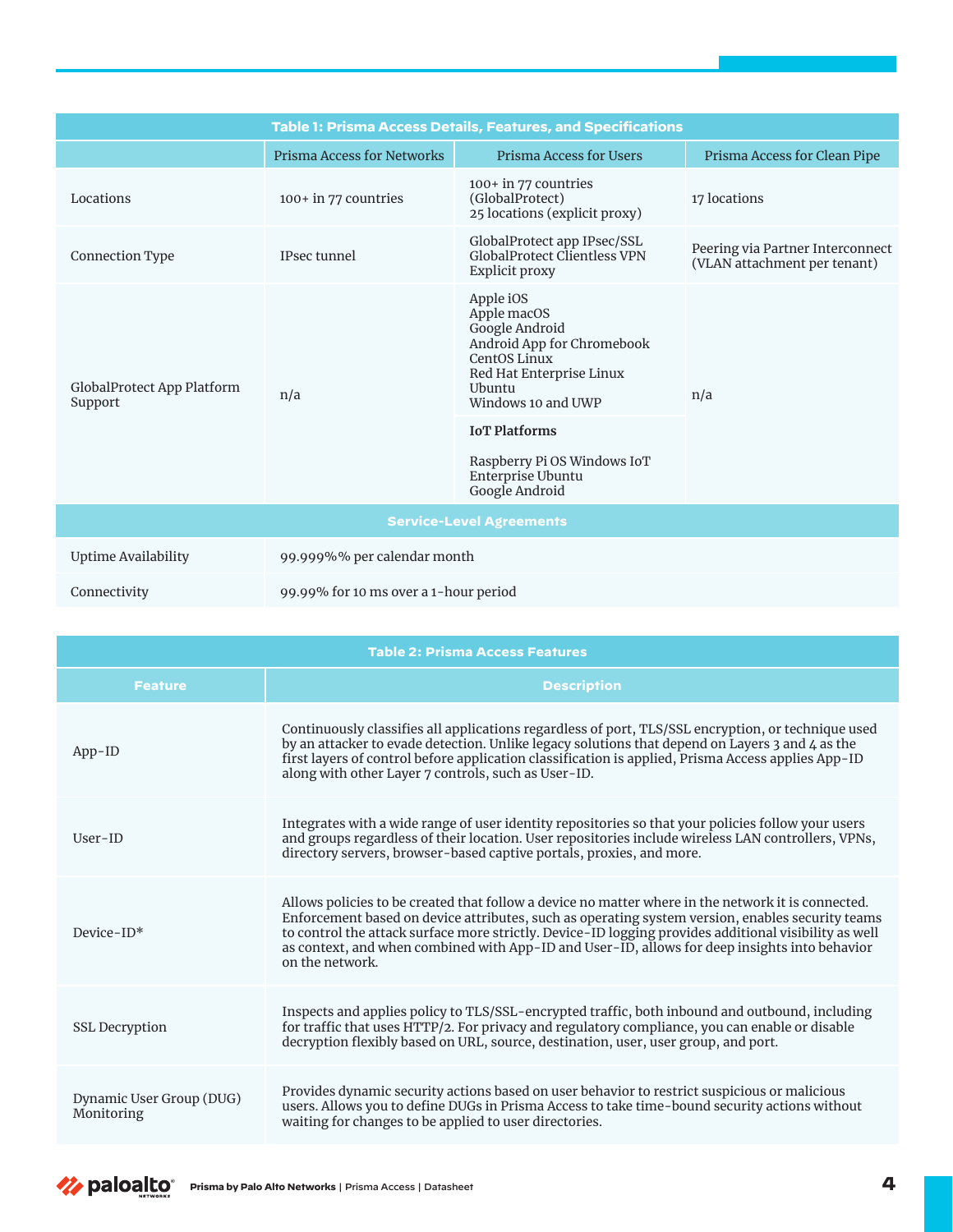| <b>Table 1: Prisma Access Details, Features, and Specifications</b> |                                       |                                                                                                                                                      |                                                                  |  |
|---------------------------------------------------------------------|---------------------------------------|------------------------------------------------------------------------------------------------------------------------------------------------------|------------------------------------------------------------------|--|
|                                                                     | <b>Prisma Access for Networks</b>     | Prisma Access for Users                                                                                                                              | Prisma Access for Clean Pipe                                     |  |
| Locations                                                           | 100+ in 77 countries                  | $100+$ in 77 countries<br>(GlobalProtect)<br>25 locations (explicit proxy)                                                                           | 17 locations                                                     |  |
| Connection Type                                                     | IPsec tunnel                          | GlobalProtect app IPsec/SSL<br><b>GlobalProtect Clientless VPN</b><br>Explicit proxy                                                                 | Peering via Partner Interconnect<br>(VLAN attachment per tenant) |  |
| GlobalProtect App Platform<br>Support                               | n/a                                   | Apple iOS<br>Apple macOS<br>Google Android<br>Android App for Chromebook<br>CentOS Linux<br>Red Hat Enterprise Linux<br>Ubuntu<br>Windows 10 and UWP | n/a                                                              |  |
|                                                                     |                                       | <b>IoT</b> Platforms<br>Raspberry Pi OS Windows IoT<br>Enterprise Ubuntu<br>Google Android                                                           |                                                                  |  |
| <b>Service-Level Agreements</b>                                     |                                       |                                                                                                                                                      |                                                                  |  |
| <b>Uptime Availability</b>                                          | 99.999%% per calendar month           |                                                                                                                                                      |                                                                  |  |
| Connectivity                                                        | 99.99% for 10 ms over a 1-hour period |                                                                                                                                                      |                                                                  |  |

| <b>Table 2: Prisma Access Features</b> |                                                                                                                                                                                                                                                                                                                                                                                                                                     |  |
|----------------------------------------|-------------------------------------------------------------------------------------------------------------------------------------------------------------------------------------------------------------------------------------------------------------------------------------------------------------------------------------------------------------------------------------------------------------------------------------|--|
| <b>Feature</b>                         | <b>Description</b>                                                                                                                                                                                                                                                                                                                                                                                                                  |  |
| $App-ID$                               | Continuously classifies all applications regardless of port, TLS/SSL encryption, or technique used<br>by an attacker to evade detection. Unlike legacy solutions that depend on Layers 3 and 4 as the<br>first layers of control before application classification is applied, Prisma Access applies App-ID<br>along with other Layer 7 controls, such as User-ID.                                                                  |  |
| $User-ID$                              | Integrates with a wide range of user identity repositories so that your policies follow your users<br>and groups regardless of their location. User repositories include wireless LAN controllers, VPNs,<br>directory servers, browser-based captive portals, proxies, and more.                                                                                                                                                    |  |
| Device-ID*                             | Allows policies to be created that follow a device no matter where in the network it is connected.<br>Enforcement based on device attributes, such as operating system version, enables security teams<br>to control the attack surface more strictly. Device-ID logging provides additional visibility as well<br>as context, and when combined with App-ID and User-ID, allows for deep insights into behavior<br>on the network. |  |
| <b>SSL Decryption</b>                  | Inspects and applies policy to TLS/SSL-encrypted traffic, both inbound and outbound, including<br>for traffic that uses HTTP/2. For privacy and regulatory compliance, you can enable or disable<br>decryption flexibly based on URL, source, destination, user, user group, and port.                                                                                                                                              |  |
| Dynamic User Group (DUG)<br>Monitoring | Provides dynamic security actions based on user behavior to restrict suspicious or malicious<br>users. Allows you to define DUGs in Prisma Access to take time-bound security actions without<br>waiting for changes to be applied to user directories.                                                                                                                                                                             |  |

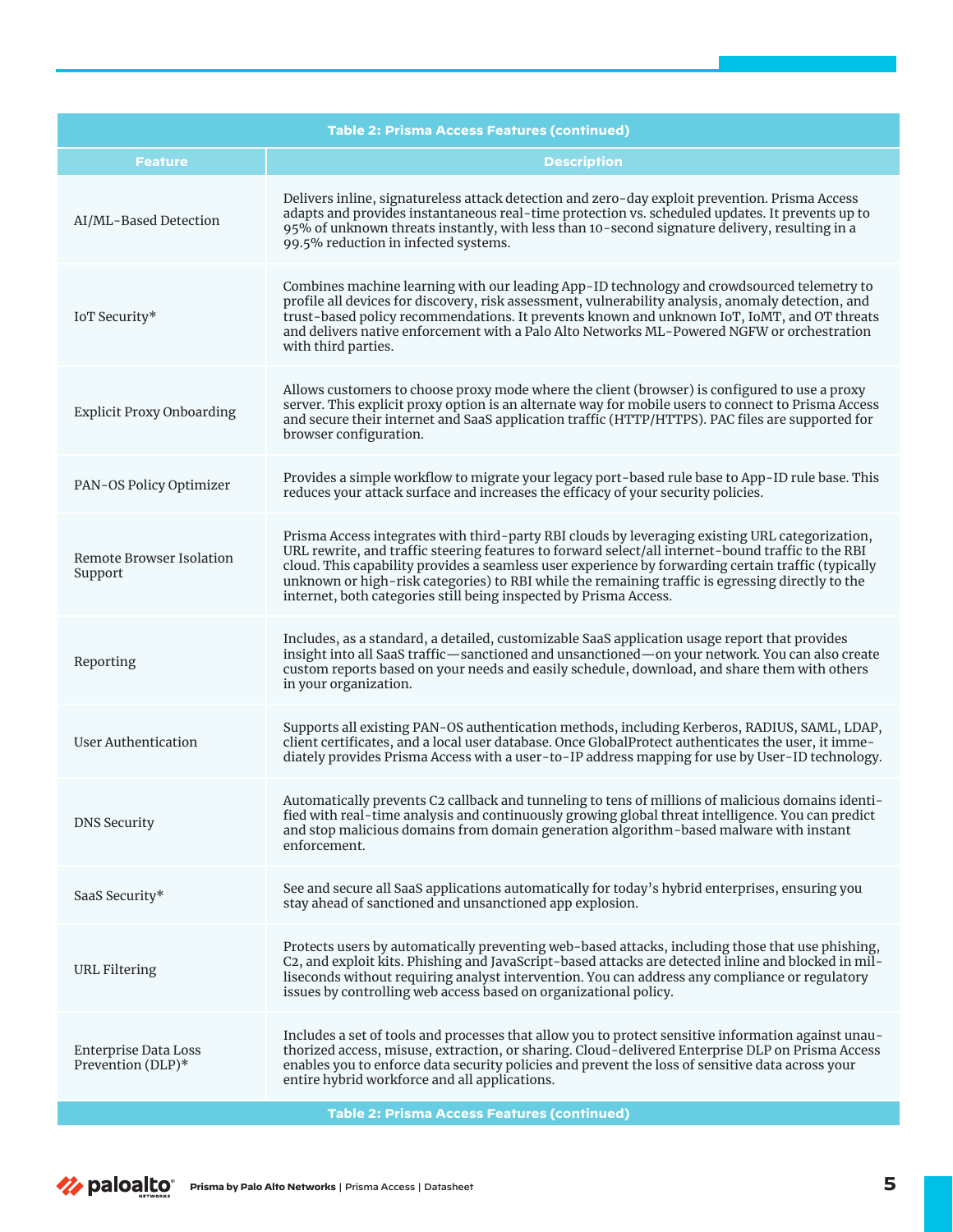| <b>Table 2: Prisma Access Features (continued)</b> |                                                                                                                                                                                                                                                                                                                                                                                                                                                                                       |  |
|----------------------------------------------------|---------------------------------------------------------------------------------------------------------------------------------------------------------------------------------------------------------------------------------------------------------------------------------------------------------------------------------------------------------------------------------------------------------------------------------------------------------------------------------------|--|
| <b>Feature</b>                                     | <b>Description</b>                                                                                                                                                                                                                                                                                                                                                                                                                                                                    |  |
| AI/ML-Based Detection                              | Delivers inline, signatureless attack detection and zero-day exploit prevention. Prisma Access<br>adapts and provides instantaneous real-time protection vs. scheduled updates. It prevents up to<br>95% of unknown threats instantly, with less than 10-second signature delivery, resulting in a<br>99.5% reduction in infected systems.                                                                                                                                            |  |
| IoT Security*                                      | Combines machine learning with our leading App-ID technology and crowdsourced telemetry to<br>profile all devices for discovery, risk assessment, vulnerability analysis, anomaly detection, and<br>trust-based policy recommendations. It prevents known and unknown IoT, IoMT, and OT threats<br>and delivers native enforcement with a Palo Alto Networks ML-Powered NGFW or orchestration<br>with third parties.                                                                  |  |
| <b>Explicit Proxy Onboarding</b>                   | Allows customers to choose proxy mode where the client (browser) is configured to use a proxy<br>server. This explicit proxy option is an alternate way for mobile users to connect to Prisma Access<br>and secure their internet and SaaS application traffic (HTTP/HTTPS). PAC files are supported for<br>browser configuration.                                                                                                                                                    |  |
| PAN-OS Policy Optimizer                            | Provides a simple workflow to migrate your legacy port-based rule base to App-ID rule base. This<br>reduces your attack surface and increases the efficacy of your security policies.                                                                                                                                                                                                                                                                                                 |  |
| Remote Browser Isolation<br>Support                | Prisma Access integrates with third-party RBI clouds by leveraging existing URL categorization,<br>URL rewrite, and traffic steering features to forward select/all internet-bound traffic to the RBI<br>cloud. This capability provides a seamless user experience by forwarding certain traffic (typically<br>unknown or high-risk categories) to RBI while the remaining traffic is egressing directly to the<br>internet, both categories still being inspected by Prisma Access. |  |
| Reporting                                          | Includes, as a standard, a detailed, customizable SaaS application usage report that provides<br>insight into all SaaS traffic—sanctioned and unsanctioned—on your network. You can also create<br>custom reports based on your needs and easily schedule, download, and share them with others<br>in your organization.                                                                                                                                                              |  |
| <b>User Authentication</b>                         | Supports all existing PAN-OS authentication methods, including Kerberos, RADIUS, SAML, LDAP,<br>client certificates, and a local user database. Once GlobalProtect authenticates the user, it imme-<br>diately provides Prisma Access with a user-to-IP address mapping for use by User-ID technology.                                                                                                                                                                                |  |
| <b>DNS Security</b>                                | Automatically prevents C2 callback and tunneling to tens of millions of malicious domains identi-<br>fied with real-time analysis and continuously growing global threat intelligence. You can predict<br>and stop malicious domains from domain generation algorithm-based malware with instant<br>enforcement.                                                                                                                                                                      |  |
| SaaS Security*                                     | See and secure all SaaS applications automatically for today's hybrid enterprises, ensuring you<br>stay ahead of sanctioned and unsanctioned app explosion.                                                                                                                                                                                                                                                                                                                           |  |
| URL Filtering                                      | Protects users by automatically preventing web-based attacks, including those that use phishing,<br>C2, and exploit kits. Phishing and JavaScript-based attacks are detected inline and blocked in mil-<br>liseconds without requiring analyst intervention. You can address any compliance or regulatory<br>issues by controlling web access based on organizational policy.                                                                                                         |  |
| Enterprise Data Loss<br>Prevention (DLP)*          | Includes a set of tools and processes that allow you to protect sensitive information against unau-<br>thorized access, misuse, extraction, or sharing. Cloud-delivered Enterprise DLP on Prisma Access<br>enables you to enforce data security policies and prevent the loss of sensitive data across your<br>entire hybrid workforce and all applications.                                                                                                                          |  |

**Table 2: Prisma Access Features (continued)**

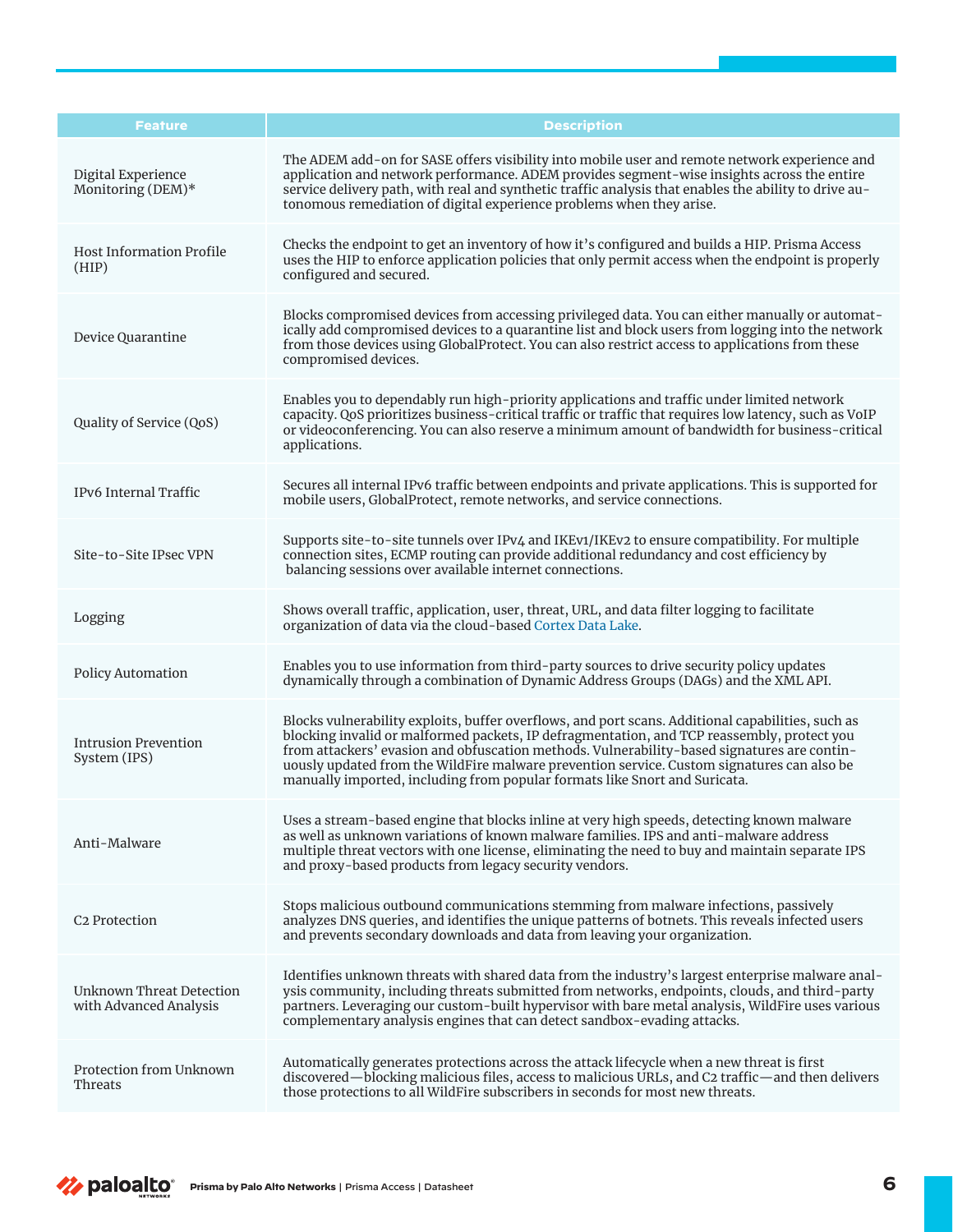| <b>Feature</b>                                            | <b>Description</b>                                                                                                                                                                                                                                                                                                                                                                                                                                                         |
|-----------------------------------------------------------|----------------------------------------------------------------------------------------------------------------------------------------------------------------------------------------------------------------------------------------------------------------------------------------------------------------------------------------------------------------------------------------------------------------------------------------------------------------------------|
| Digital Experience<br>Monitoring (DEM)*                   | The ADEM add-on for SASE offers visibility into mobile user and remote network experience and<br>application and network performance. ADEM provides segment-wise insights across the entire<br>service delivery path, with real and synthetic traffic analysis that enables the ability to drive au-<br>tonomous remediation of digital experience problems when they arise.                                                                                               |
| <b>Host Information Profile</b><br>(HIP)                  | Checks the endpoint to get an inventory of how it's configured and builds a HIP. Prisma Access<br>uses the HIP to enforce application policies that only permit access when the endpoint is properly<br>configured and secured.                                                                                                                                                                                                                                            |
| Device Quarantine                                         | Blocks compromised devices from accessing privileged data. You can either manually or automat-<br>ically add compromised devices to a quarantine list and block users from logging into the network<br>from those devices using GlobalProtect. You can also restrict access to applications from these<br>compromised devices.                                                                                                                                             |
| Quality of Service (QoS)                                  | Enables you to dependably run high-priority applications and traffic under limited network<br>capacity. QoS prioritizes business-critical traffic or traffic that requires low latency, such as VoIP<br>or videoconferencing. You can also reserve a minimum amount of bandwidth for business-critical<br>applications.                                                                                                                                                    |
| IPv6 Internal Traffic                                     | Secures all internal IPv6 traffic between endpoints and private applications. This is supported for<br>mobile users, GlobalProtect, remote networks, and service connections.                                                                                                                                                                                                                                                                                              |
| Site-to-Site IPsec VPN                                    | Supports site-to-site tunnels over IPv4 and IKEv1/IKEv2 to ensure compatibility. For multiple<br>connection sites, ECMP routing can provide additional redundancy and cost efficiency by<br>balancing sessions over available internet connections.                                                                                                                                                                                                                        |
| Logging                                                   | Shows overall traffic, application, user, threat, URL, and data filter logging to facilitate<br>organization of data via the cloud-based Cortex Data Lake.                                                                                                                                                                                                                                                                                                                 |
| Policy Automation                                         | Enables you to use information from third-party sources to drive security policy updates<br>dynamically through a combination of Dynamic Address Groups (DAGs) and the XML API.                                                                                                                                                                                                                                                                                            |
| <b>Intrusion Prevention</b><br>System (IPS)               | Blocks vulnerability exploits, buffer overflows, and port scans. Additional capabilities, such as<br>blocking invalid or malformed packets, IP defragmentation, and TCP reassembly, protect you<br>from attackers' evasion and obfuscation methods. Vulnerability-based signatures are contin-<br>uously updated from the WildFire malware prevention service. Custom signatures can also be<br>manually imported, including from popular formats like Snort and Suricata. |
| Anti-Malware                                              | Uses a stream-based engine that blocks inline at very high speeds, detecting known malware<br>as well as unknown variations of known malware families. IPS and anti-malware address<br>multiple threat vectors with one license, eliminating the need to buy and maintain separate IPS<br>and proxy-based products from legacy security vendors.                                                                                                                           |
| C <sub>2</sub> Protection                                 | Stops malicious outbound communications stemming from malware infections, passively<br>analyzes DNS queries, and identifies the unique patterns of botnets. This reveals infected users<br>and prevents secondary downloads and data from leaving your organization.                                                                                                                                                                                                       |
| <b>Unknown Threat Detection</b><br>with Advanced Analysis | Identifies unknown threats with shared data from the industry's largest enterprise malware anal-<br>ysis community, including threats submitted from networks, endpoints, clouds, and third-party<br>partners. Leveraging our custom-built hypervisor with bare metal analysis, WildFire uses various<br>complementary analysis engines that can detect sandbox-evading attacks.                                                                                           |
| Protection from Unknown<br>Threats                        | Automatically generates protections across the attack lifecycle when a new threat is first<br>discovered—blocking malicious files, access to malicious URLs, and C2 traffic—and then delivers<br>those protections to all WildFire subscribers in seconds for most new threats.                                                                                                                                                                                            |